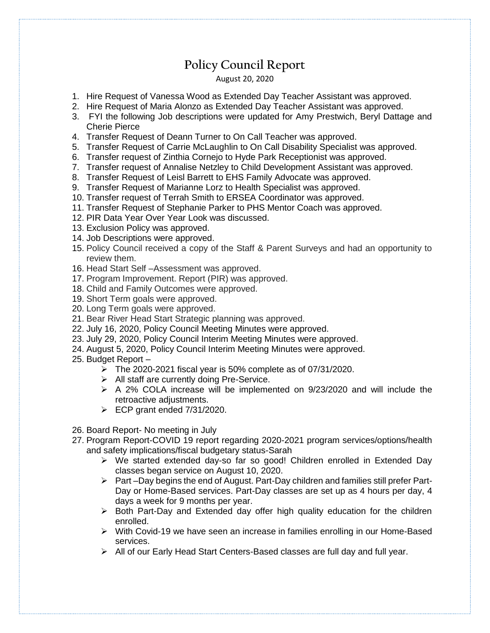## **Policy Council Report**

### August 20, 2020

- 1. Hire Request of Vanessa Wood as Extended Day Teacher Assistant was approved.
- 2. Hire Request of Maria Alonzo as Extended Day Teacher Assistant was approved.
- 3. FYI the following Job descriptions were updated for Amy Prestwich, Beryl Dattage and Cherie Pierce
- 4. Transfer Request of Deann Turner to On Call Teacher was approved.
- 5. Transfer Request of Carrie McLaughlin to On Call Disability Specialist was approved.
- 6. Transfer request of Zinthia Cornejo to Hyde Park Receptionist was approved.
- 7. Transfer request of Annalise Netzley to Child Development Assistant was approved.
- 8. Transfer Request of Leisl Barrett to EHS Family Advocate was approved.
- 9. Transfer Request of Marianne Lorz to Health Specialist was approved.
- 10. Transfer request of Terrah Smith to ERSEA Coordinator was approved.
- 11. Transfer Request of Stephanie Parker to PHS Mentor Coach was approved.
- 12. PIR Data Year Over Year Look was discussed.
- 13. Exclusion Policy was approved.
- 14. Job Descriptions were approved.
- 15. Policy Council received a copy of the Staff & Parent Surveys and had an opportunity to review them.
- 16. Head Start Self –Assessment was approved.
- 17. Program Improvement. Report (PIR) was approved.
- 18. Child and Family Outcomes were approved.
- 19. Short Term goals were approved.
- 20. Long Term goals were approved.
- 21. Bear River Head Start Strategic planning was approved.
- 22. July 16, 2020, Policy Council Meeting Minutes were approved.
- 23. July 29, 2020, Policy Council Interim Meeting Minutes were approved.
- 24. August 5, 2020, Policy Council Interim Meeting Minutes were approved.
- 25. Budget Report
	- $\triangleright$  The 2020-2021 fiscal year is 50% complete as of 07/31/2020.
		- $\triangleright$  All staff are currently doing Pre-Service.
		- $\triangleright$  A 2% COLA increase will be implemented on 9/23/2020 and will include the retroactive adjustments.
		- $\triangleright$  ECP grant ended 7/31/2020.
- 26. Board Report- No meeting in July
- 27. Program Report-COVID 19 report regarding 2020-2021 program services/options/health and safety implications/fiscal budgetary status-Sarah
	- We started extended day-so far so good! Children enrolled in Extended Day classes began service on August 10, 2020.
	- $\triangleright$  Part –Day begins the end of August. Part-Day children and families still prefer Part-Day or Home-Based services. Part-Day classes are set up as 4 hours per day, 4 days a week for 9 months per year.
	- $\triangleright$  Both Part-Day and Extended day offer high quality education for the children enrolled.
	- With Covid-19 we have seen an increase in families enrolling in our Home-Based services.
	- $\triangleright$  All of our Early Head Start Centers-Based classes are full day and full year.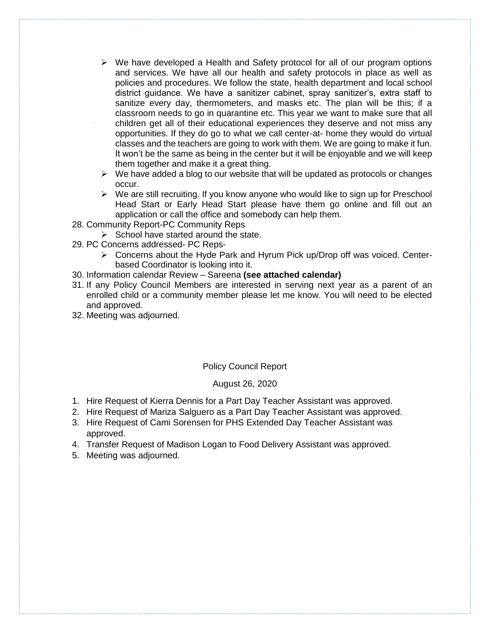- $\triangleright$  We have developed a Health and Safety protocol for all of our program options and services. We have all our health and safety protocols in place as well as policies and procedures. We follow the state, health department and local school district guidance. We have a sanitizer cabinet, spray sanitizer's, extra staff to sanitize every day, thermometers, and masks etc. The plan will be this; if a classroom needs to go in quarantine etc. This year we want to make sure that all children get all of their educational experiences they deserve and not miss any opportunities. If they do go to what we call center-at- home they would do virtual classes and the teachers are going to work with them. We are going to make it fun. It won't be the same as being in the center but it will be enjoyable and we will keep them together and make it a great thing.
- $\triangleright$  We have added a blog to our website that will be updated as protocols or changes occur.
- $\triangleright$  We are still recruiting. If you know anyone who would like to sign up for Preschool Head Start or Early Head Start please have them go online and fill out an application or call the office and somebody can help them.
- 28. Community Report-PC Community Reps
- $\triangleright$  School have started around the state.
- 29. PC Concerns addressed- PC Reps-
	- Concerns about the Hyde Park and Hyrum Pick up/Drop off was voiced. Centerbased Coordinator is looking into it.
- 30. Information calendar Review Sareena **(see attached calendar)**
- 31. If any Policy Council Members are interested in serving next year as a parent of an enrolled child or a community member please let me know. You will need to be elected and approved.
- 32. Meeting was adjourned.

#### Policy Council Report

#### August 26, 2020

- 1. Hire Request of Kierra Dennis for a Part Day Teacher Assistant was approved.
- 2. Hire Request of Mariza Salguero as a Part Day Teacher Assistant was approved.
- 3. Hire Request of Cami Sorensen for PHS Extended Day Teacher Assistant was approved.
- 4. Transfer Request of Madison Logan to Food Delivery Assistant was approved.
- 5. Meeting was adjourned.